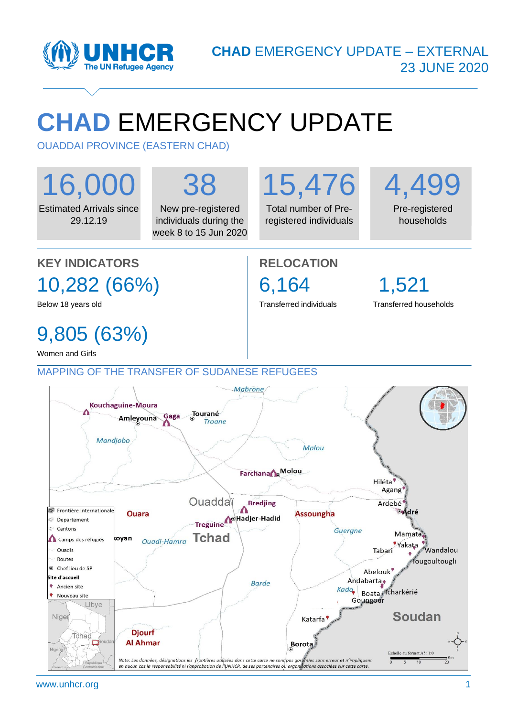

## **CHAD** EMERGENCY UPDATE

OUADDAI PROVINCE (EASTERN CHAD)

# 16,000

Estimated Arrivals since 29.12.19

## 38

New pre-registered individuals during the week 8 to 15 Jun 2020

## 15,476

Total number of Preregistered individuals

**RELOCATION**

6,164 1,521

Transferred individuals Transferred households

### 4,499 Pre-registered

households

### **KEY INDICATORS**

10,282 (66%)

Below 18 years old

### 9,805 (63%)

Women and Girls

#### MAPPING OF THE TRANSFER OF SUDANESE REFUGEES

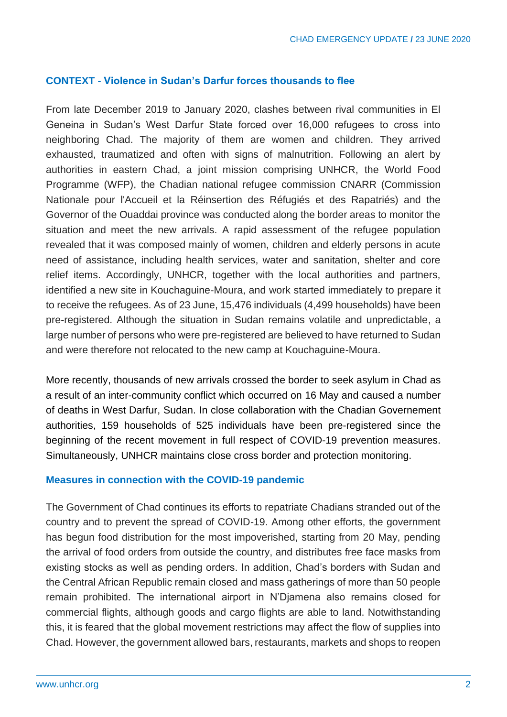#### **CONTEXT - Violence in Sudan's Darfur forces thousands to flee**

From late December 2019 to January 2020, clashes between rival communities in El Geneina in Sudan's West Darfur State forced over 16,000 refugees to cross into neighboring Chad. The majority of them are women and children. They arrived exhausted, traumatized and often with signs of malnutrition. Following an alert by authorities in eastern Chad, a joint mission comprising UNHCR, the World Food Programme (WFP), the Chadian national refugee commission CNARR (Commission Nationale pour l'Accueil et la Réinsertion des Réfugiés et des Rapatriés) and the Governor of the Ouaddai province was conducted along the border areas to monitor the situation and meet the new arrivals. A rapid assessment of the refugee population revealed that it was composed mainly of women, children and elderly persons in acute need of assistance, including health services, water and sanitation, shelter and core relief items. Accordingly, UNHCR, together with the local authorities and partners, identified a new site in Kouchaguine-Moura, and work started immediately to prepare it to receive the refugees. As of 23 June, 15,476 individuals (4,499 households) have been pre-registered. Although the situation in Sudan remains volatile and unpredictable, a large number of persons who were pre-registered are believed to have returned to Sudan and were therefore not relocated to the new camp at Kouchaguine-Moura.

More recently, thousands of new arrivals crossed the border to seek asylum in Chad as a result of an inter-community conflict which occurred on 16 May and caused a number of deaths in West Darfur, Sudan. In close collaboration with the Chadian Governement authorities, 159 households of 525 individuals have been pre-registered since the beginning of the recent movement in full respect of COVID-19 prevention measures. Simultaneously, UNHCR maintains close cross border and protection monitoring.

#### **Measures in connection with the COVID-19 pandemic**

The Government of Chad continues its efforts to repatriate Chadians stranded out of the country and to prevent the spread of COVID-19. Among other efforts, the government has begun food distribution for the most impoverished, starting from 20 May, pending the arrival of food orders from outside the country, and distributes free face masks from existing stocks as well as pending orders. In addition, Chad's borders with Sudan and the Central African Republic remain closed and mass gatherings of more than 50 people remain prohibited. The international airport in N'Djamena also remains closed for commercial flights, although goods and cargo flights are able to land. Notwithstanding this, it is feared that the global movement restrictions may affect the flow of supplies into Chad. However, the government allowed bars, restaurants, markets and shops to reopen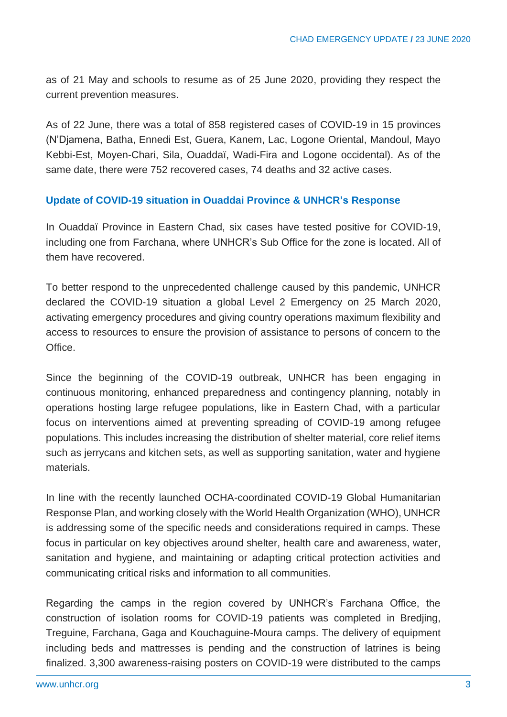as of 21 May and schools to resume as of 25 June 2020, providing they respect the current prevention measures.

As of 22 June, there was a total of 858 registered cases of COVID-19 in 15 provinces (N'Djamena, Batha, Ennedi Est, Guera, Kanem, Lac, Logone Oriental, Mandoul, Mayo Kebbi-Est, Moyen-Chari, Sila, Ouaddaï, Wadi-Fira and Logone occidental). As of the same date, there were 752 recovered cases, 74 deaths and 32 active cases.

#### **Update of COVID-19 situation in Ouaddai Province & UNHCR's Response**

In Ouaddaï Province in Eastern Chad, six cases have tested positive for COVID-19, including one from Farchana, where UNHCR's Sub Office for the zone is located. All of them have recovered.

To better respond to the unprecedented challenge caused by this pandemic, UNHCR declared the COVID-19 situation a global Level 2 Emergency on 25 March 2020, activating emergency procedures and giving country operations maximum flexibility and access to resources to ensure the provision of assistance to persons of concern to the Office.

Since the beginning of the COVID-19 outbreak, UNHCR has been engaging in continuous monitoring, enhanced preparedness and contingency planning, notably in operations hosting large refugee populations, like in Eastern Chad, with a particular focus on interventions aimed at preventing spreading of COVID-19 among refugee populations. This includes increasing the distribution of shelter material, core relief items such as jerrycans and kitchen sets, as well as supporting sanitation, water and hygiene materials.

In line with the recently launched OCHA-coordinated COVID-19 Global Humanitarian Response Plan, and working closely with the World Health Organization (WHO), UNHCR is addressing some of the specific needs and considerations required in camps. These focus in particular on key objectives around shelter, health care and awareness, water, sanitation and hygiene, and maintaining or adapting critical protection activities and communicating critical risks and information to all communities.

Regarding the camps in the region covered by UNHCR's Farchana Office, the construction of isolation rooms for COVID-19 patients was completed in Bredjing, Treguine, Farchana, Gaga and Kouchaguine-Moura camps. The delivery of equipment including beds and mattresses is pending and the construction of latrines is being finalized. 3,300 awareness-raising posters on COVID-19 were distributed to the camps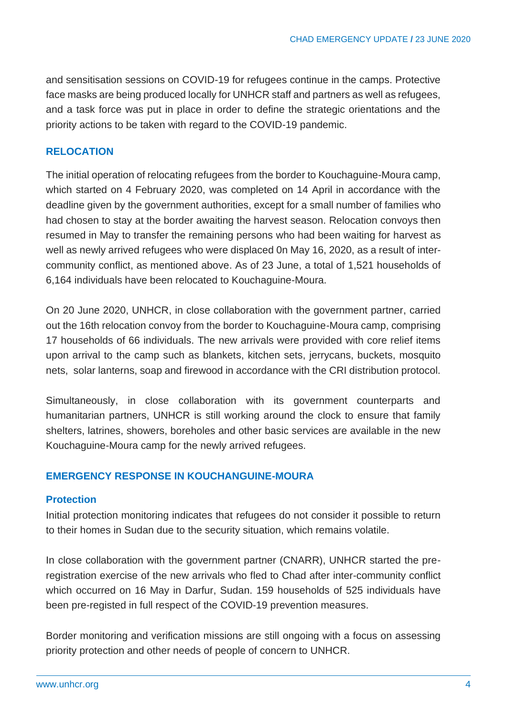and sensitisation sessions on COVID-19 for refugees continue in the camps. Protective face masks are being produced locally for UNHCR staff and partners as well as refugees, and a task force was put in place in order to define the strategic orientations and the priority actions to be taken with regard to the COVID-19 pandemic.

#### **RELOCATION**

The initial operation of relocating refugees from the border to Kouchaguine-Moura camp, which started on 4 February 2020, was completed on 14 April in accordance with the deadline given by the government authorities, except for a small number of families who had chosen to stay at the border awaiting the harvest season. Relocation convoys then resumed in May to transfer the remaining persons who had been waiting for harvest as well as newly arrived refugees who were displaced 0n May 16, 2020, as a result of intercommunity conflict, as mentioned above. As of 23 June, a total of 1,521 households of 6,164 individuals have been relocated to Kouchaguine-Moura.

On 20 June 2020, UNHCR, in close collaboration with the government partner, carried out the 16th relocation convoy from the border to Kouchaguine-Moura camp, comprising 17 households of 66 individuals. The new arrivals were provided with core relief items upon arrival to the camp such as blankets, kitchen sets, jerrycans, buckets, mosquito nets, solar lanterns, soap and firewood in accordance with the CRI distribution protocol.

Simultaneously, in close collaboration with its government counterparts and humanitarian partners, UNHCR is still working around the clock to ensure that family shelters, latrines, showers, boreholes and other basic services are available in the new Kouchaguine-Moura camp for the newly arrived refugees.

#### **EMERGENCY RESPONSE IN KOUCHANGUINE-MOURA**

#### **Protection**

Initial protection monitoring indicates that refugees do not consider it possible to return to their homes in Sudan due to the security situation, which remains volatile.

In close collaboration with the government partner (CNARR), UNHCR started the preregistration exercise of the new arrivals who fled to Chad after inter-community conflict which occurred on 16 May in Darfur, Sudan. 159 households of 525 individuals have been pre-registed in full respect of the COVID-19 prevention measures.

Border monitoring and verification missions are still ongoing with a focus on assessing priority protection and other needs of people of concern to UNHCR.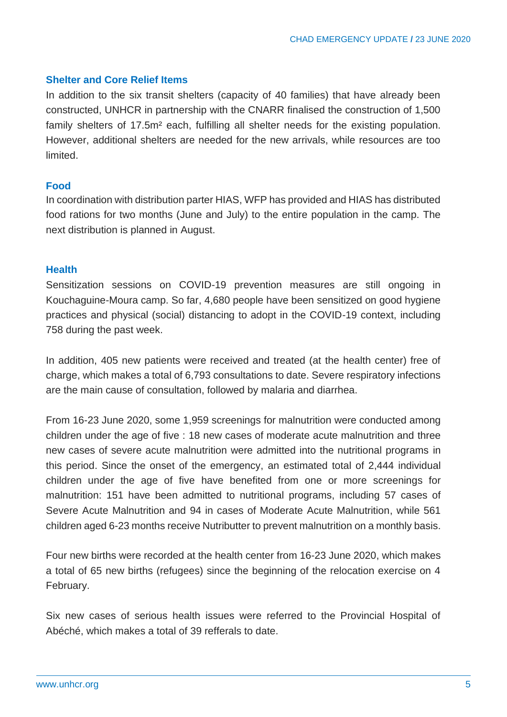#### **Shelter and Core Relief Items**

In addition to the six transit shelters (capacity of 40 families) that have already been constructed, UNHCR in partnership with the CNARR finalised the construction of 1,500 family shelters of 17.5m² each, fulfilling all shelter needs for the existing population. However, additional shelters are needed for the new arrivals, while resources are too limited.

#### **Food**

In coordination with distribution parter HIAS, WFP has provided and HIAS has distributed food rations for two months (June and July) to the entire population in the camp. The next distribution is planned in August.

#### **Health**

Sensitization sessions on COVID-19 prevention measures are still ongoing in Kouchaguine-Moura camp. So far, 4,680 people have been sensitized on good hygiene practices and physical (social) distancing to adopt in the COVID-19 context, including 758 during the past week.

In addition, 405 new patients were received and treated (at the health center) free of charge, which makes a total of 6,793 consultations to date. Severe respiratory infections are the main cause of consultation, followed by malaria and diarrhea.

From 16-23 June 2020, some 1,959 screenings for malnutrition were conducted among children under the age of five : 18 new cases of moderate acute malnutrition and three new cases of severe acute malnutrition were admitted into the nutritional programs in this period. Since the onset of the emergency, an estimated total of 2,444 individual children under the age of five have benefited from one or more screenings for malnutrition: 151 have been admitted to nutritional programs, including 57 cases of Severe Acute Malnutrition and 94 in cases of Moderate Acute Malnutrition, while 561 children aged 6-23 months receive Nutributter to prevent malnutrition on a monthly basis.

Four new births were recorded at the health center from 16-23 June 2020, which makes a total of 65 new births (refugees) since the beginning of the relocation exercise on 4 February.

Six new cases of serious health issues were referred to the Provincial Hospital of Abéché, which makes a total of 39 refferals to date.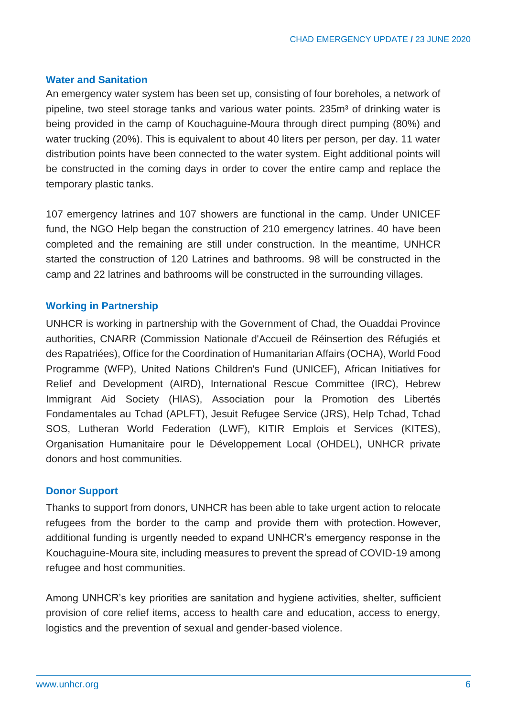#### **Water and Sanitation**

An emergency water system has been set up, consisting of four boreholes, a network of pipeline, two steel storage tanks and various water points. 235m<sup>3</sup> of drinking water is being provided in the camp of Kouchaguine-Moura through direct pumping (80%) and water trucking (20%). This is equivalent to about 40 liters per person, per day. 11 water distribution points have been connected to the water system. Eight additional points will be constructed in the coming days in order to cover the entire camp and replace the temporary plastic tanks.

107 emergency latrines and 107 showers are functional in the camp. Under UNICEF fund, the NGO Help began the construction of 210 emergency latrines. 40 have been completed and the remaining are still under construction. In the meantime, UNHCR started the construction of 120 Latrines and bathrooms. 98 will be constructed in the camp and 22 latrines and bathrooms will be constructed in the surrounding villages.

#### **Working in Partnership**

UNHCR is working in partnership with the Government of Chad, the Ouaddai Province authorities, CNARR (Commission Nationale d'Accueil de Réinsertion des Réfugiés et des Rapatriées), Office for the Coordination of Humanitarian Affairs (OCHA), World Food Programme (WFP), United Nations Children's Fund (UNICEF), African Initiatives for Relief and Development (AIRD), International Rescue Committee (IRC), Hebrew Immigrant Aid Society (HIAS), Association pour la Promotion des Libertés Fondamentales au Tchad (APLFT), Jesuit Refugee Service (JRS), Help Tchad, Tchad SOS, Lutheran World Federation (LWF), KITIR Emplois et Services (KITES), Organisation Humanitaire pour le Développement Local (OHDEL), UNHCR private donors and host communities.

#### **Donor Support**

Thanks to support from donors, UNHCR has been able to take urgent action to relocate refugees from the border to the camp and provide them with protection. However, additional funding is urgently needed to expand UNHCR's emergency response in the Kouchaguine-Moura site, including measures to prevent the spread of COVID-19 among refugee and host communities.

Among UNHCR's key priorities are sanitation and hygiene activities, shelter, sufficient provision of core relief items, access to health care and education, access to energy, logistics and the prevention of sexual and gender-based violence.